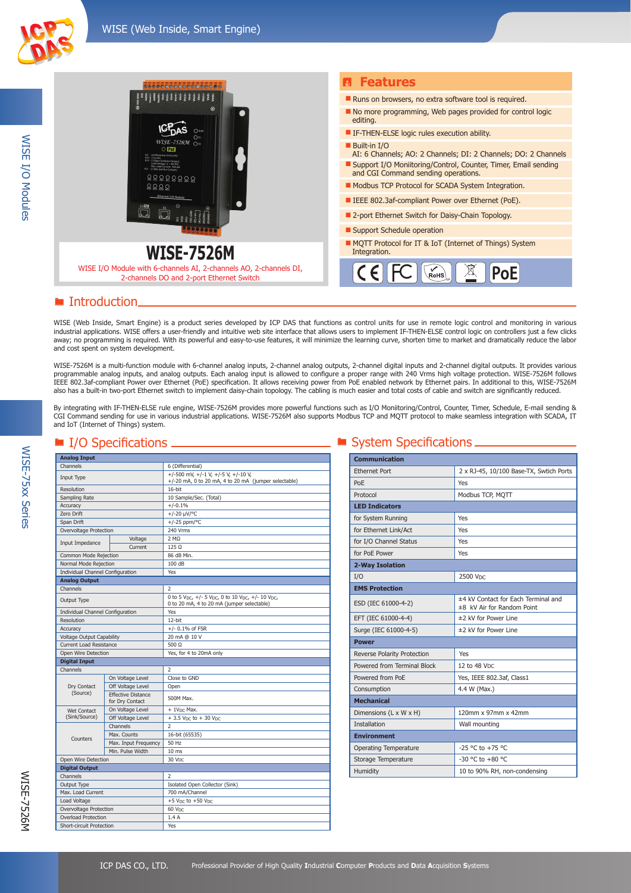WISE I/O Modules

**WISE I/O Modules** 

WISE-75xx Series

**WISE-75xx Series** 



#### ■ Introduction.

WISE (Web Inside, Smart Engine) is a product series developed by ICP DAS that functions as control units for use in remote logic control and monitoring in various industrial applications. WISE offers a user-friendly and intuitive web site interface that allows users to implement IF-THEN-ELSE control logic on controllers just a few clicks away; no programming is required. With its powerful and easy-to-use features, it will minimize the learning curve, shorten time to market and dramatically reduce the labor and cost spent on system development.

WISE-7526M is a multi-function module with 6-channel analog inputs, 2-channel analog outputs, 2-channel digital inputs and 2-channel digital outputs. It provides various programmable analog inputs, and analog outputs. Each analog input is allowed to configure a proper range with 240 Vrms high voltage protection. WISE-7526M follows IEEE 802.3af-compliant Power over Ethernet (PoE) specification. It allows receiving power from PoE enabled network by Ethernet pairs. In additional to this, WISE-7526M also has a built-in two-port Ethernet switch to implement daisy-chain topology. The cabling is much easier and total costs of cable and switch are significantly reduced.

By integrating with IF-THEN-ELSE rule engine, WISE-7526M provides more powerful functions such as I/O Moniitoring/Control, Counter, Timer, Schedule, E-mail sending & CGI Command sending for use in various industrial applications. WISE-7526M also supports Modbus TCP and MQTT protocol to make seamless integration with SCADA, IT and IoT (Internet of Things) system.

|                                  | $\sim$ opening the $\sim$                    |                                                                                               |
|----------------------------------|----------------------------------------------|-----------------------------------------------------------------------------------------------|
| <b>Analog Input</b>              |                                              |                                                                                               |
| Channels                         |                                              | 6 (Differential)                                                                              |
| Input Type                       |                                              | +/-500 mV, +/-1 V, +/-5 V, +/-10 V,<br>+/-20 mA, 0 to 20 mA, 4 to 20 mA (jumper selectable)   |
| Resolution                       |                                              | 16-bit                                                                                        |
| Sampling Rate                    |                                              | 10 Sample/Sec. (Total)                                                                        |
| Accuracy                         |                                              | $+/-0.1%$                                                                                     |
| Zero Drift                       |                                              | $+/-20 \mu V$ <sup>o</sup> C                                                                  |
| Span Drift                       |                                              | +/-25 ppm/°C                                                                                  |
| Overvoltage Protection           |                                              | 240 Vrms                                                                                      |
| Input Impedance                  | Voltage                                      | $2 M\Omega$                                                                                   |
|                                  | Current                                      | $125 \Omega$                                                                                  |
| Common Mode Rejection            |                                              | 86 dB Min.                                                                                    |
| Normal Mode Rejection            |                                              | 100dB                                                                                         |
| Individual Channel Configuration |                                              | Yes                                                                                           |
| <b>Analog Output</b>             |                                              |                                                                                               |
| Channels                         |                                              | 2                                                                                             |
| Output Type                      |                                              | 0 to 5 Vpc, +/- 5 Vpc, 0 to 10 Vpc, +/- 10 Vpc,<br>0 to 20 mA, 4 to 20 mA (jumper selectable) |
| Individual Channel Configuration |                                              | Yes                                                                                           |
| Resolution                       |                                              | 12-bit                                                                                        |
| Accuracy                         |                                              | $+/- 0.1\%$ of FSR                                                                            |
| Voltage Output Capability        |                                              | 20 mA @ 10 V                                                                                  |
| <b>Current Load Resistance</b>   |                                              | 500 $\Omega$                                                                                  |
| Open Wire Detection              |                                              | Yes, for 4 to 20mA only                                                                       |
| <b>Digital Input</b>             |                                              |                                                                                               |
| Channels                         |                                              | $\overline{\phantom{a}}$                                                                      |
|                                  | On Voltage Level                             | Close to GND                                                                                  |
| Dry Contact                      | Off Voltage Level                            | Open                                                                                          |
| (Source)                         | <b>Effective Distance</b><br>for Dry Contact | 500M Max.                                                                                     |
| Wet Contact                      | On Voltage Level                             | $+1VDC$ Max.                                                                                  |
| (Sink/Source)                    | Off Voltage Level                            | $+3.5$ V <sub>DC</sub> to $+30$ V <sub>DC</sub>                                               |
|                                  | Channels                                     | $\overline{\phantom{a}}$                                                                      |
|                                  | Max. Counts                                  | 16-bit (65535)                                                                                |
| Counters                         | Max. Input Frequency                         | 50 Hz                                                                                         |
|                                  | Min. Pulse Width                             | 10 <sub>ms</sub>                                                                              |
| Open Wire Detection              |                                              | 30 V <sub>DC</sub>                                                                            |
| <b>Digital Output</b>            |                                              |                                                                                               |
| Channels                         |                                              | $\overline{2}$                                                                                |
| Output Type                      |                                              | Isolated Open Collector (Sink)                                                                |
| Max. Load Current                |                                              | 700 mA/Channel                                                                                |
| Load Voltage                     |                                              | $+5$ V <sub>DC</sub> to $+50$ V <sub>DC</sub>                                                 |
| Overvoltage Protection           |                                              | 60 V <sub>DC</sub>                                                                            |
| <b>Overload Protection</b>       |                                              | 1.4A                                                                                          |
| <b>Short-circuit Protection</b>  |                                              | Yes                                                                                           |

#### $\blacksquare$  I/O Specifications  $\blacksquare$   $\blacksquare$  System Specifications  $\blacksquare$

| <b>Communication</b>         |                                                                   |  |  |  |
|------------------------------|-------------------------------------------------------------------|--|--|--|
| <b>Ethernet Port</b>         | 2 x RJ-45, 10/100 Base-TX, Swtich Ports                           |  |  |  |
| PoF                          | Yes                                                               |  |  |  |
| Protocol                     | Modbus TCP, MQTT                                                  |  |  |  |
| <b>LED Indicators</b>        |                                                                   |  |  |  |
| for System Running           | Yes                                                               |  |  |  |
| for Ethernet Link/Act        | Yes                                                               |  |  |  |
| for I/O Channel Status       | Yes                                                               |  |  |  |
| for PoE Power                | Yes                                                               |  |  |  |
| 2-Way Isolation              |                                                                   |  |  |  |
| I/O                          | 2500 V <sub>DC</sub>                                              |  |  |  |
| <b>EMS Protection</b>        |                                                                   |  |  |  |
| ESD (IEC 61000-4-2)          | ±4 kV Contact for Each Terminal and<br>±8 kV Air for Random Point |  |  |  |
| EFT (IEC 61000-4-4)          | ±2 kV for Power Line                                              |  |  |  |
| Surge (IEC 61000-4-5)        | ±2 kV for Power Line                                              |  |  |  |
| <b>Power</b>                 |                                                                   |  |  |  |
| Reverse Polarity Protection  | Yes                                                               |  |  |  |
| Powered from Terminal Block  | 12 to 48 VDC                                                      |  |  |  |
| Powered from PoF             | Yes, IEEE 802.3af, Class1                                         |  |  |  |
| Consumption                  | 4.4 W (Max.)                                                      |  |  |  |
| <b>Mechanical</b>            |                                                                   |  |  |  |
| Dimensions (L x W x H)       | 120mm x 97mm x 42mm                                               |  |  |  |
| <b>Installation</b>          | Wall mounting                                                     |  |  |  |
| <b>Environment</b>           |                                                                   |  |  |  |
| <b>Operating Temperature</b> | $-25$ °C to $+75$ °C                                              |  |  |  |
| Storage Temperature          | $-30$ °C to $+80$ °C                                              |  |  |  |
| Humidity                     | 10 to 90% RH, non-condensing                                      |  |  |  |